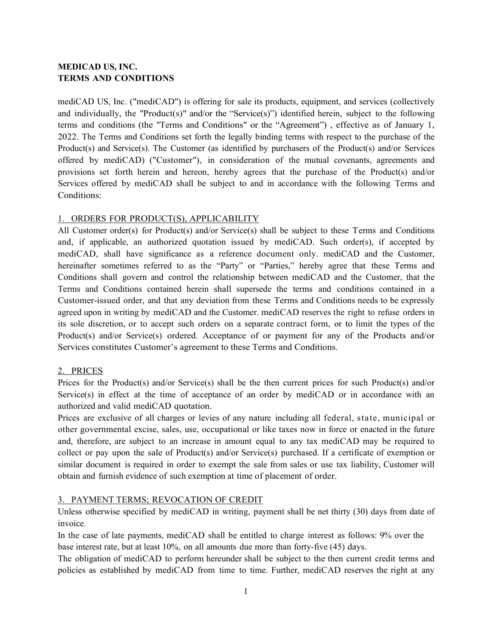# **MEDICAD US, INC. TERMS AND CONDITIONS**

mediCAD US, Inc. ("mediCAD") is offering for sale its products, equipment, and services (collectively and individually, the "Product(s)" and/or the "Service(s)") identified herein, subject to the following terms and conditions (the "Terms and Conditions" or the "Agreement") , effective as of January 1, 2022. The Terms and Conditions set forth the legally binding terms with respect to the purchase of the Product(s) and Service(s). The Customer (as identified by purchasers of the Product(s) and/or Services offered by mediCAD) ("Customer"), in consideration of the mutual covenants, agreements and provisions set forth herein and hereon, hereby agrees that the purchase of the Product(s) and/or Services offered by mediCAD shall be subject to and in accordance with the following Terms and Conditions:

## 1. ORDERS FOR PRODUCT(S), APPLICABILITY

All Customer order(s) for Product(s) and/or Service(s) shall be subject to these Terms and Conditions and, if applicable, an authorized quotation issued by mediCAD. Such order(s), if accepted by mediCAD, shall have significance as a reference document only. mediCAD and the Customer, hereinafter sometimes referred to as the "Party" or "Parties," hereby agree that these Terms and Conditions shall govern and control the relationship between mediCAD and the Customer, that the Terms and Conditions contained herein shall supersede the terms and conditions contained in a Customer-issued order, and that any deviation from these Terms and Conditions needs to be expressly agreed upon in writing by mediCAD and the Customer. mediCAD reserves the right to refuse orders in its sole discretion, or to accept such orders on a separate contract form, or to limit the types of the Product(s) and/or Service(s) ordered. Acceptance of or payment for any of the Products and/or Services constitutes Customer's agreement to these Terms and Conditions.

#### 2. PRICES

Prices for the Product(s) and/or Service(s) shall be the then current prices for such Product(s) and/or Service(s) in effect at the time of acceptance of an order by mediCAD or in accordance with an authorized and valid mediCAD quotation.

Prices are exclusive of all charges or levies of any nature including all federal, state, municipal or other governmental excise, sales, use, occupational or like taxes now in force or enacted in the future and, therefore, are subject to an increase in amount equal to any tax mediCAD may be required to collect or pay upon the sale of Product(s) and/or Service(s) purchased. If a certificate of exemption or similar document is required in order to exempt the sale from sales or use tax liability, Customer will obtain and furnish evidence of such exemption at time of placement of order.

# 3. PAYMENT TERMS; REVOCATION OF CREDIT

Unless otherwise specified by mediCAD in writing, payment shall be net thirty (30) days from date of invoice.

In the case of late payments, mediCAD shall be entitled to charge interest as follows: 9% over the base interest rate, but at least 10%, on all amounts due more than forty-five (45) days.

The obligation of mediCAD to perform hereunder shall be subject to the then current credit terms and policies as established by mediCAD from time to time. Further, mediCAD reserves the right at any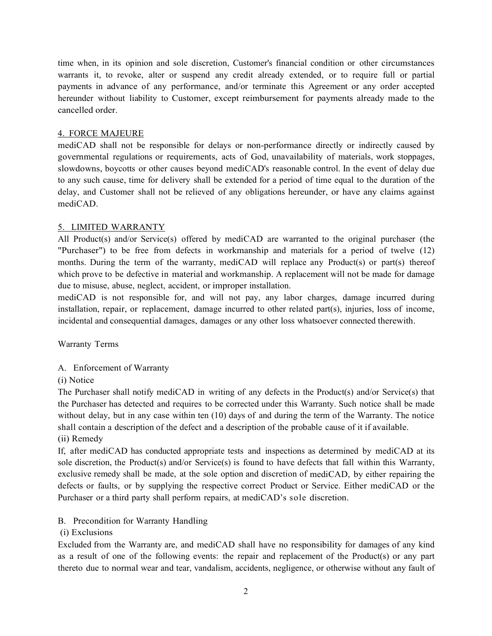time when, in its opinion and sole discretion, Customer's financial condition or other circumstances warrants it, to revoke, alter or suspend any credit already extended, or to require full or partial payments in advance of any performance, and/or terminate this Agreement or any order accepted hereunder without liability to Customer, except reimbursement for payments already made to the cancelled order.

#### 4. FORCE MAJEURE

mediCAD shall not be responsible for delays or non-performance directly or indirectly caused by governmental regulations or requirements, acts of God, unavailability of materials, work stoppages, slowdowns, boycotts or other causes beyond mediCAD's reasonable control. In the event of delay due to any such cause, time for delivery shall be extended for a period of time equal to the duration of the delay, and Customer shall not be relieved of any obligations hereunder, or have any claims against mediCAD.

## 5. LIMITED WARRANTY

All Product(s) and/or Service(s) offered by mediCAD are warranted to the original purchaser (the "Purchaser") to be free from defects in workmanship and materials for a period of twelve (12) months. During the term of the warranty, mediCAD will replace any Product(s) or part(s) thereof which prove to be defective in material and workmanship. A replacement will not be made for damage due to misuse, abuse, neglect, accident, or improper installation.

mediCAD is not responsible for, and will not pay, any labor charges, damage incurred during installation, repair, or replacement, damage incurred to other related part(s), injuries, loss of income, incidental and consequential damages, damages or any other loss whatsoever connected therewith.

Warranty Terms

# A. Enforcement of Warranty

(i) Notice

The Purchaser shall notify mediCAD in writing of any defects in the Product(s) and/or Service(s) that the Purchaser has detected and requires to be corrected under this Warranty. Such notice shall be made without delay, but in any case within ten (10) days of and during the term of the Warranty. The notice shall contain a description of the defect and a description of the probable cause of it if available. (ii) Remedy

If, after mediCAD has conducted appropriate tests and inspections as determined by mediCAD at its sole discretion, the Product(s) and/or Service(s) is found to have defects that fall within this Warranty, exclusive remedy shall be made, at the sole option and discretion of mediCAD, by either repairing the defects or faults, or by supplying the respective correct Product or Service. Either mediCAD or the Purchaser or a third party shall perform repairs, at mediCAD's sole discretion.

# B. Precondition for Warranty Handling

# (i) Exclusions

Excluded from the Warranty are, and mediCAD shall have no responsibility for damages of any kind as a result of one of the following events: the repair and replacement of the Product(s) or any part thereto due to normal wear and tear, vandalism, accidents, negligence, or otherwise without any fault of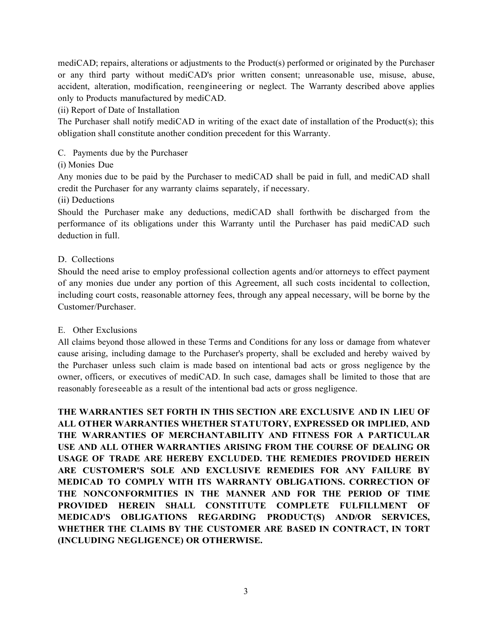mediCAD; repairs, alterations or adjustments to the Product(s) performed or originated by the Purchaser or any third party without mediCAD's prior written consent; unreasonable use, misuse, abuse, accident, alteration, modification, reengineering or neglect. The Warranty described above applies only to Products manufactured by mediCAD.

## (ii) Report of Date of Installation

The Purchaser shall notify mediCAD in writing of the exact date of installation of the Product(s); this obligation shall constitute another condition precedent for this Warranty.

## C. Payments due by the Purchaser

## (i) Monies Due

Any monies due to be paid by the Purchaser to mediCAD shall be paid in full, and mediCAD shall credit the Purchaser for any warranty claims separately, if necessary.

#### (ii) Deductions

Should the Purchaser make any deductions, mediCAD shall forthwith be discharged from the performance of its obligations under this Warranty until the Purchaser has paid mediCAD such deduction in full.

## D. Collections

Should the need arise to employ professional collection agents and/or attorneys to effect payment of any monies due under any portion of this Agreement, all such costs incidental to collection, including court costs, reasonable attorney fees, through any appeal necessary, will be borne by the Customer/Purchaser.

#### E. Other Exclusions

All claims beyond those allowed in these Terms and Conditions for any loss or damage from whatever cause arising, including damage to the Purchaser's property, shall be excluded and hereby waived by the Purchaser unless such claim is made based on intentional bad acts or gross negligence by the owner, officers, or executives of mediCAD. In such case, damages shall be limited to those that are reasonably foreseeable as a result of the intentional bad acts or gross negligence.

**THE WARRANTIES SET FORTH IN THIS SECTION ARE EXCLUSIVE AND IN LIEU OF ALL OTHER WARRANTIES WHETHER STATUTORY, EXPRESSED OR IMPLIED, AND THE WARRANTIES OF MERCHANTABILITY AND FITNESS FOR A PARTICULAR USE AND ALL OTHER WARRANTIES ARISING FROM THE COURSE OF DEALING OR USAGE OF TRADE ARE HEREBY EXCLUDED. THE REMEDIES PROVIDED HEREIN ARE CUSTOMER'S SOLE AND EXCLUSIVE REMEDIES FOR ANY FAILURE BY MEDICAD TO COMPLY WITH ITS WARRANTY OBLIGATIONS. CORRECTION OF THE NONCONFORMITIES IN THE MANNER AND FOR THE PERIOD OF TIME PROVIDED HEREIN SHALL CONSTITUTE COMPLETE FULFILLMENT OF MEDICAD'S OBLIGATIONS REGARDING PRODUCT(S) AND/OR SERVICES, WHETHER THE CLAIMS BY THE CUSTOMER ARE BASED IN CONTRACT, IN TORT (INCLUDING NEGLIGENCE) OR OTHERWISE.**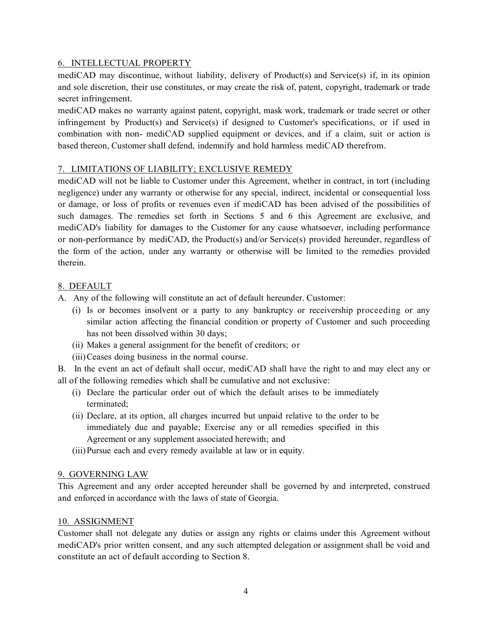## 6. INTELLECTUAL PROPERTY

mediCAD may discontinue, without liability, delivery of Product(s) and Service(s) if, in its opinion and sole discretion, their use constitutes, or may create the risk of, patent, copyright, trademark or trade secret infringement.

mediCAD makes no warranty against patent, copyright, mask work, trademark or trade secret or other infringement by Product(s) and Service(s) if designed to Customer's specifications, or if used in combination with non- mediCAD supplied equipment or devices, and if a claim, suit or action is based thereon, Customer shall defend, indemnify and hold harmless mediCAD therefrom.

# 7. LIMITATIONS OF LIABILITY; EXCLUSIVE REMEDY

mediCAD will not be liable to Customer under this Agreement, whether in contract, in tort (including negligence) under any warranty or otherwise for any special, indirect, incidental or consequential loss or damage, or loss of profits or revenues even if mediCAD has been advised of the possibilities of such damages. The remedies set forth in Sections 5 and 6 this Agreement are exclusive, and mediCAD's liability for damages to the Customer for any cause whatsoever, including performance or non-performance by mediCAD, the Product(s) and/or Service(s) provided hereunder, regardless of the form of the action, under any warranty or otherwise will be limited to the remedies provided therein.

## 8. DEFAULT

- A. Any of the following will constitute an act of default hereunder. Customer:
	- (i) Is or becomes insolvent or a party to any bankruptcy or receivership proceeding or any similar action affecting the financial condition or property of Customer and such proceeding has not been dissolved within 30 days;
	- (ii) Makes a general assignment for the benefit of creditors; or
	- (iii)Ceases doing business in the normal course.

B. In the event an act of default shall occur, mediCAD shall have the right to and may elect any or all of the following remedies which shall be cumulative and not exclusive:

- (i) Declare the particular order out of which the default arises to be immediately terminated;
- (ii) Declare, at its option, all charges incurred but unpaid relative to the order to be immediately due and payable; Exercise any or all remedies specified in this Agreement or any supplement associated herewith; and
- (iii)Pursue each and every remedy available at law or in equity.

#### 9. GOVERNING LAW

This Agreement and any order accepted hereunder shall be governed by and interpreted, construed and enforced in accordance with the laws of state of Georgia.

#### 10. ASSIGNMENT

Customer shall not delegate any duties or assign any rights or claims under this Agreement without mediCAD's prior written consent, and any such attempted delegation or assignment shall be void and constitute an act of default according to Section 8.